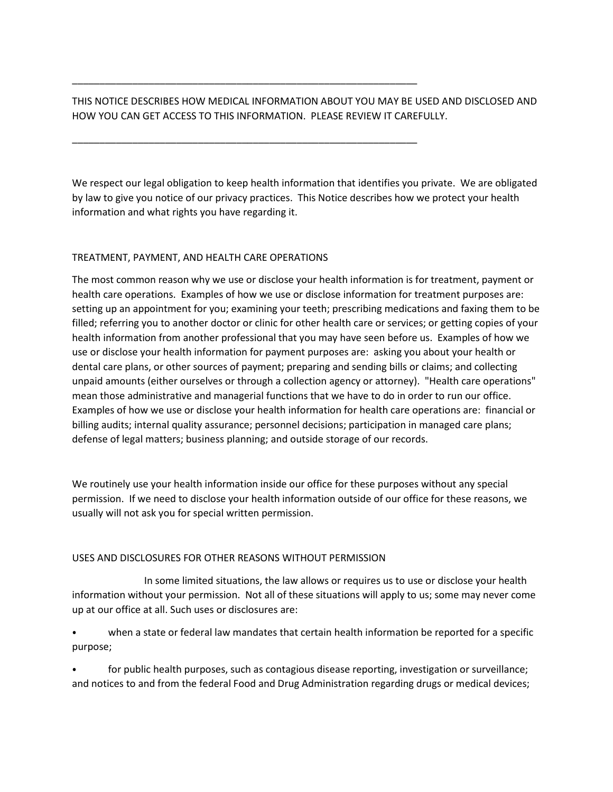# THIS NOTICE DESCRIBES HOW MEDICAL INFORMATION ABOUT YOU MAY BE USED AND DISCLOSED AND HOW YOU CAN GET ACCESS TO THIS INFORMATION. PLEASE REVIEW IT CAREFULLY.

\_\_\_\_\_\_\_\_\_\_\_\_\_\_\_\_\_\_\_\_\_\_\_\_\_\_\_\_\_\_\_\_\_\_\_\_\_\_\_\_\_\_\_\_\_\_\_\_\_\_\_\_\_\_\_\_\_\_\_\_\_\_\_

\_\_\_\_\_\_\_\_\_\_\_\_\_\_\_\_\_\_\_\_\_\_\_\_\_\_\_\_\_\_\_\_\_\_\_\_\_\_\_\_\_\_\_\_\_\_\_\_\_\_\_\_\_\_\_\_\_\_\_\_\_\_\_

We respect our legal obligation to keep health information that identifies you private. We are obligated by law to give you notice of our privacy practices. This Notice describes how we protect your health information and what rights you have regarding it.

# TREATMENT, PAYMENT, AND HEALTH CARE OPERATIONS

The most common reason why we use or disclose your health information is for treatment, payment or health care operations. Examples of how we use or disclose information for treatment purposes are: setting up an appointment for you; examining your teeth; prescribing medications and faxing them to be filled; referring you to another doctor or clinic for other health care or services; or getting copies of your health information from another professional that you may have seen before us. Examples of how we use or disclose your health information for payment purposes are: asking you about your health or dental care plans, or other sources of payment; preparing and sending bills or claims; and collecting unpaid amounts (either ourselves or through a collection agency or attorney). "Health care operations" mean those administrative and managerial functions that we have to do in order to run our office. Examples of how we use or disclose your health information for health care operations are: financial or billing audits; internal quality assurance; personnel decisions; participation in managed care plans; defense of legal matters; business planning; and outside storage of our records.

We routinely use your health information inside our office for these purposes without any special permission. If we need to disclose your health information outside of our office for these reasons, we usually will not ask you for special written permission.

# USES AND DISCLOSURES FOR OTHER REASONS WITHOUT PERMISSION

In some limited situations, the law allows or requires us to use or disclose your health information without your permission. Not all of these situations will apply to us; some may never come up at our office at all. Such uses or disclosures are:

when a state or federal law mandates that certain health information be reported for a specific purpose;

for public health purposes, such as contagious disease reporting, investigation or surveillance; and notices to and from the federal Food and Drug Administration regarding drugs or medical devices;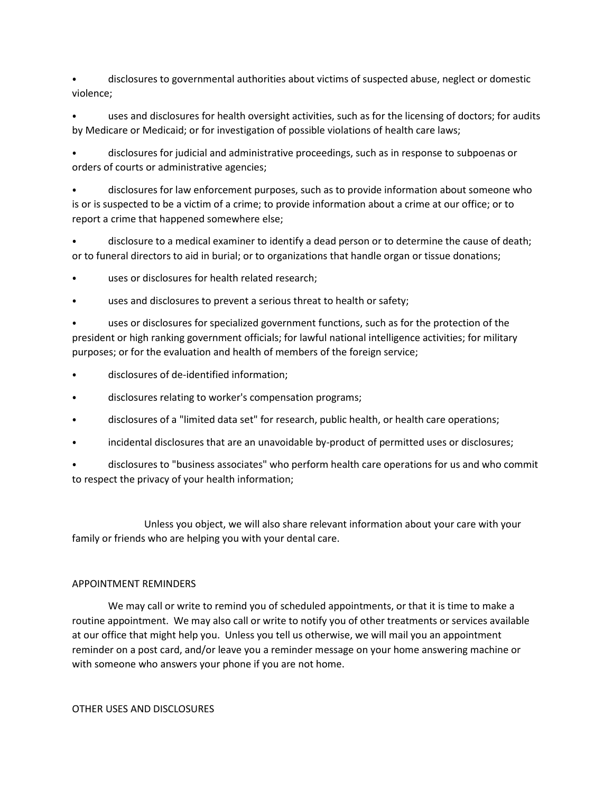⦁ disclosures to governmental authorities about victims of suspected abuse, neglect or domestic violence;

uses and disclosures for health oversight activities, such as for the licensing of doctors; for audits by Medicare or Medicaid; or for investigation of possible violations of health care laws;

⦁ disclosures for judicial and administrative proceedings, such as in response to subpoenas or orders of courts or administrative agencies;

⦁ disclosures for law enforcement purposes, such as to provide information about someone who is or is suspected to be a victim of a crime; to provide information about a crime at our office; or to report a crime that happened somewhere else;

⦁ disclosure to a medical examiner to identify a dead person or to determine the cause of death; or to funeral directors to aid in burial; or to organizations that handle organ or tissue donations;

⦁ uses or disclosures for health related research;

uses and disclosures to prevent a serious threat to health or safety;

uses or disclosures for specialized government functions, such as for the protection of the president or high ranking government officials; for lawful national intelligence activities; for military purposes; or for the evaluation and health of members of the foreign service;

- ⦁ disclosures of de-identified information;
- ⦁ disclosures relating to worker's compensation programs;
- ⦁ disclosures of a "limited data set" for research, public health, or health care operations;
- ⦁ incidental disclosures that are an unavoidable by-product of permitted uses or disclosures;

⦁ disclosures to "business associates" who perform health care operations for us and who commit to respect the privacy of your health information;

Unless you object, we will also share relevant information about your care with your family or friends who are helping you with your dental care.

# APPOINTMENT REMINDERS

We may call or write to remind you of scheduled appointments, or that it is time to make a routine appointment. We may also call or write to notify you of other treatments or services available at our office that might help you. Unless you tell us otherwise, we will mail you an appointment reminder on a post card, and/or leave you a reminder message on your home answering machine or with someone who answers your phone if you are not home.

OTHER USES AND DISCLOSURES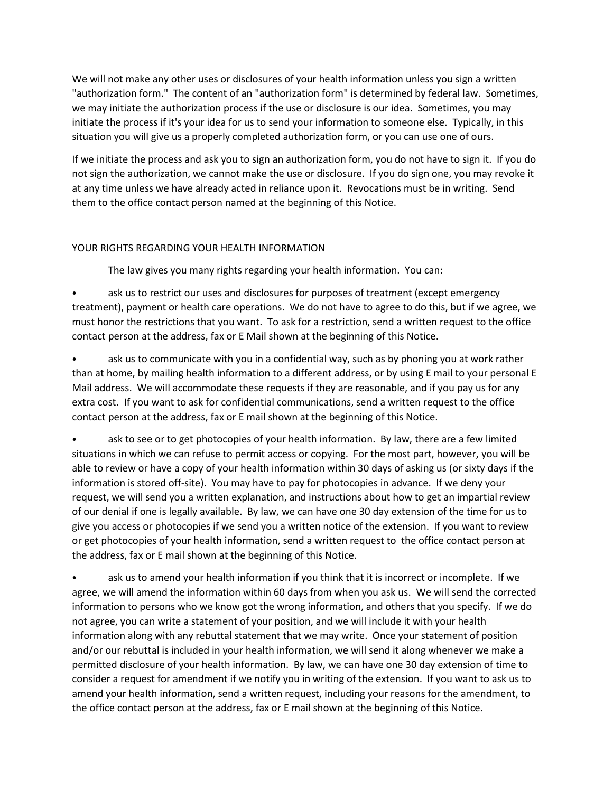We will not make any other uses or disclosures of your health information unless you sign a written "authorization form." The content of an "authorization form" is determined by federal law. Sometimes, we may initiate the authorization process if the use or disclosure is our idea. Sometimes, you may initiate the process if it's your idea for us to send your information to someone else. Typically, in this situation you will give us a properly completed authorization form, or you can use one of ours.

If we initiate the process and ask you to sign an authorization form, you do not have to sign it. If you do not sign the authorization, we cannot make the use or disclosure. If you do sign one, you may revoke it at any time unless we have already acted in reliance upon it. Revocations must be in writing. Send them to the office contact person named at the beginning of this Notice.

# YOUR RIGHTS REGARDING YOUR HEALTH INFORMATION

The law gives you many rights regarding your health information. You can:

ask us to restrict our uses and disclosures for purposes of treatment (except emergency treatment), payment or health care operations. We do not have to agree to do this, but if we agree, we must honor the restrictions that you want. To ask for a restriction, send a written request to the office contact person at the address, fax or E Mail shown at the beginning of this Notice.

ask us to communicate with you in a confidential way, such as by phoning you at work rather than at home, by mailing health information to a different address, or by using E mail to your personal E Mail address. We will accommodate these requests if they are reasonable, and if you pay us for any extra cost. If you want to ask for confidential communications, send a written request to the office contact person at the address, fax or E mail shown at the beginning of this Notice.

ask to see or to get photocopies of your health information. By law, there are a few limited situations in which we can refuse to permit access or copying. For the most part, however, you will be able to review or have a copy of your health information within 30 days of asking us (or sixty days if the information is stored off-site). You may have to pay for photocopies in advance. If we deny your request, we will send you a written explanation, and instructions about how to get an impartial review of our denial if one is legally available. By law, we can have one 30 day extension of the time for us to give you access or photocopies if we send you a written notice of the extension. If you want to review or get photocopies of your health information, send a written request to the office contact person at the address, fax or E mail shown at the beginning of this Notice.

ask us to amend your health information if you think that it is incorrect or incomplete. If we agree, we will amend the information within 60 days from when you ask us. We will send the corrected information to persons who we know got the wrong information, and others that you specify. If we do not agree, you can write a statement of your position, and we will include it with your health information along with any rebuttal statement that we may write. Once your statement of position and/or our rebuttal is included in your health information, we will send it along whenever we make a permitted disclosure of your health information. By law, we can have one 30 day extension of time to consider a request for amendment if we notify you in writing of the extension. If you want to ask us to amend your health information, send a written request, including your reasons for the amendment, to the office contact person at the address, fax or E mail shown at the beginning of this Notice.